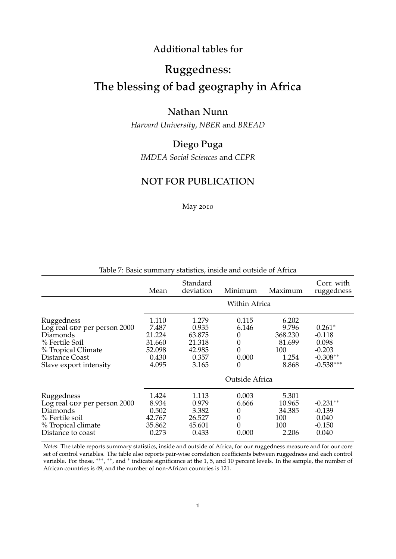#### Additional tables for

## Ruggedness:

# The blessing of bad geography in Africa

#### Nathan Nunn

*Harvard University*, *NBER* and *BREAD*

### Diego Puga

*IMDEA Social Sciences* and *CEPR*

#### NOT FOR PUBLICATION

May 2010

|                                                                                                                                            | Mean                                                           | Standard<br>deviation                                          | Minimum                                     | Maximum                                                      | Corr. with<br>ruggedness                                               |
|--------------------------------------------------------------------------------------------------------------------------------------------|----------------------------------------------------------------|----------------------------------------------------------------|---------------------------------------------|--------------------------------------------------------------|------------------------------------------------------------------------|
|                                                                                                                                            | Within Africa                                                  |                                                                |                                             |                                                              |                                                                        |
| Ruggedness<br>Log real GDP per person 2000<br>Diamonds<br>% Fertile Soil<br>% Tropical Climate<br>Distance Coast<br>Slave export intensity | 1.110<br>7.487<br>21.224<br>31.660<br>52.098<br>0.430<br>4.095 | 1.279<br>0.935<br>63.875<br>21.318<br>42.985<br>0.357<br>3.165 | 0.115<br>6.146<br>0<br>0<br>0<br>0.000<br>0 | 6.202<br>9.796<br>368.230<br>81.699<br>100<br>1.254<br>8.868 | $0.261*$<br>$-0.118$<br>0.098<br>$-0.203$<br>$-0.308**$<br>$-0.538***$ |
|                                                                                                                                            |                                                                |                                                                | Outside Africa                              |                                                              |                                                                        |
| Ruggedness<br>Log real GDP per person 2000<br>Diamonds<br>% Fertile soil<br>% Tropical climate<br>Distance to coast                        | 1.424<br>8.934<br>0.502<br>42.767<br>35.862<br>0.273           | 1.113<br>0.979<br>3.382<br>26.527<br>45.601<br>0.433           | 0.003<br>6.666<br>0<br>0<br>0<br>0.000      | 5.301<br>10.965<br>34.385<br>100<br>100<br>2.206             | $-0.231**$<br>$-0.139$<br>0.040<br>$-0.150$<br>0.040                   |

#### Table 7: Basic summary statistics, inside and outside of Africa

*Notes*: The table reports summary statistics, inside and outside of Africa, for our ruggedness measure and for our core set of control variables. The table also reports pair-wise correlation coefficients between ruggedness and each control variable. For these, \*\*\*, \*\*, and \* indicate significance at the 1, 5, and 10 percent levels. In the sample, the number of African countries is 49, and the number of non-African countries is 121.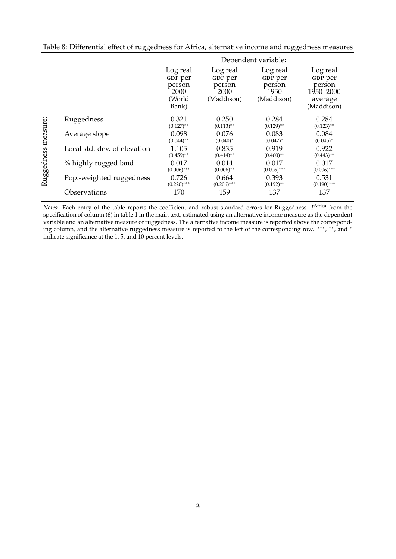|                     |                              | Dependent variable:                                      |                                                     |                                                     |                                                                     |  |
|---------------------|------------------------------|----------------------------------------------------------|-----------------------------------------------------|-----------------------------------------------------|---------------------------------------------------------------------|--|
|                     |                              | Log real<br>GDP per<br>person<br>2000<br>(World<br>Bank) | Log real<br>GDP per<br>person<br>2000<br>(Maddison) | Log real<br>GDP per<br>person<br>1950<br>(Maddison) | Log real<br>GDP per<br>person<br>1950–2000<br>average<br>(Maddison) |  |
| Ruggedness measure: | Ruggedness                   | 0.321<br>$(0.127)$ **                                    | 0.250<br>$(0.113)$ **                               | 0.284<br>$(0.129)$ **                               | 0.284<br>$(0.123)$ **                                               |  |
|                     | Average slope                | 0.098<br>$(0.044)$ **                                    | 0.076<br>$(0.040)^*$                                | 0.083<br>$(0.047)^*$                                | 0.084<br>$(0.045)^*$                                                |  |
|                     | Local std. dev. of elevation | 1.105<br>$(0.459)$ **                                    | 0.835<br>$(0.414)$ **                               | 0.919<br>$(0.460)$ **                               | 0.922<br>$(0.443)$ **                                               |  |
|                     | % highly rugged land         | 0.017<br>$(0.006)$ ***                                   | 0.014<br>$(0.006)$ **                               | 0.017<br>$(0.006)$ ***                              | 0.017<br>$(0.006)$ ***                                              |  |
|                     | Pop.-weighted ruggedness     | 0.726<br>$(0.220)$ ***                                   | 0.664<br>$(0.206)$ ***                              | 0.393<br>$(0.192)$ **                               | 0.531<br>$(0.190)$ ***                                              |  |
|                     | Observations                 | 170                                                      | 159                                                 | 137                                                 | 137                                                                 |  |

Table 8: Differential effect of ruggedness for Africa, alternative income and ruggedness measures

*Notes*: Each entry of the table reports the coefficient and robust standard errors for Ruggedness ·*I* Africa from the specification of column (6) in table 1 in the main text, estimated using an alternative income measure as the dependent variable and an alternative measure of ruggedness. The alternative income measure is reported above the corresponding column, and the alternative ruggedness measure is reported to the left of the corresponding row. \*\*\*, \*\*, and \* indicate significance at the 1, 5, and 10 percent levels.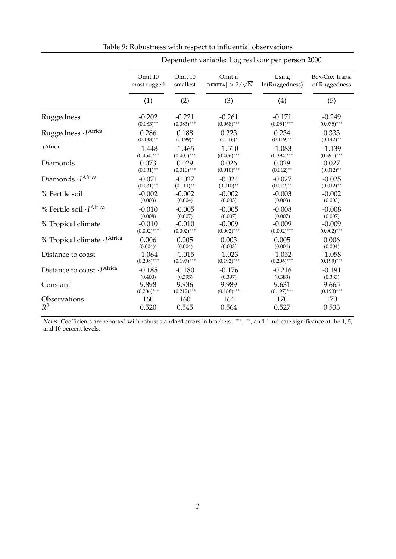|                                              | Dependent variable: Log real GDP per person 2000 |               |                                       |                |                |  |
|----------------------------------------------|--------------------------------------------------|---------------|---------------------------------------|----------------|----------------|--|
|                                              | Omit 10                                          | Omit 10       | Omit if                               | Using          | Box-Cox Trans. |  |
|                                              | most rugged                                      | smallest      | $ \text{DFBETA}  > 2/\sqrt{\text{N}}$ | ln(Ruggedness) | of Ruggedness  |  |
|                                              | (1)                                              | (2)           | (3)                                   | (4)            | (5)            |  |
| Ruggedness                                   | $-0.202$                                         | $-0.221$      | $-0.261$                              | $-0.171$       | $-0.249$       |  |
|                                              | $(0.083)$ **                                     | $(0.083)$ *** | $(0.068)$ ***                         | $(0.051)$ ***  | $(0.075)$ ***  |  |
| Ruggedness · IAfrica                         | 0.286                                            | 0.188         | 0.223                                 | 0.234          | 0.333          |  |
|                                              | $(0.133)$ **                                     | $(0.099)^{*}$ | $(0.116)^*$                           | $(0.119)$ **   | $(0.142)$ **   |  |
| <i>I</i> Africa                              | $-1.448$                                         | $-1.465$      | $-1.510$                              | $-1.083$       | $-1.139$       |  |
|                                              | $(0.454)$ ***                                    | $(0.405)$ *** | $(0.406)$ ***                         | $(0.394)$ ***  | $(0.391)$ ***  |  |
| Diamonds                                     | 0.073                                            | 0.029         | 0.026                                 | 0.029          | 0.027          |  |
|                                              | $(0.031)$ **                                     | $(0.010)$ *** | $(0.010)$ ***                         | $(0.012)$ **   | $(0.012)$ **   |  |
| Diamonds · IAfrica                           | $-0.071$                                         | $-0.027$      | $-0.024$                              | $-0.027$       | $-0.025$       |  |
|                                              | $(0.031)$ **                                     | $(0.011)$ **  | $(0.010)$ **                          | $(0.012)$ **   | $(0.012)$ **   |  |
| % Fertile soil                               | $-0.002$                                         | $-0.002$      | $-0.002$                              | $-0.003$       | $-0.002$       |  |
|                                              | (0.003)                                          | (0.004)       | (0.003)                               | (0.003)        | (0.003)        |  |
| $%$ Fertile soil $\cdot$ I <sup>Africa</sup> | $-0.010$                                         | $-0.005$      | $-0.005$                              | $-0.008$       | $-0.008$       |  |
|                                              | (0.008)                                          | (0.007)       | (0.007)                               | (0.007)        | (0.007)        |  |
| % Tropical climate                           | $-0.010$                                         | $-0.010$      | $-0.009$                              | $-0.009$       | $-0.009$       |  |
|                                              | $(0.002)$ ***                                    | $(0.002)$ *** | $(0.002)$ ***                         | $(0.002)$ ***  | $(0.002)$ ***  |  |
| % Tropical climate · IAfrica                 | 0.006                                            | 0.005         | 0.003                                 | 0.005          | 0.006          |  |
|                                              | $(0.004)^*$                                      | (0.004)       | (0.003)                               | (0.004)        | (0.004)        |  |
| Distance to coast                            | $-1.064$                                         | $-1.015$      | $-1.023$                              | $-1.052$       | $-1.058$       |  |
|                                              | $(0.208)$ ***                                    | $(0.197)$ *** | $(0.192)$ ***                         | $(0.206)$ ***  | $(0.199)$ ***  |  |
| Distance to coast · I <sup>Africa</sup>      | $-0.185$                                         | $-0.180$      | $-0.176$                              | $-0.216$       | $-0.191$       |  |
|                                              | (0.400)                                          | (0.395)       | (0.397)                               | (0.383)        | (0.383)        |  |
| Constant                                     | 9.898                                            | 9.936         | 9.989                                 | 9.631          | 9.665          |  |
|                                              | $(0.206)$ ***                                    | $(0.212)$ *** | $(0.188)$ ***                         | $(0.197)$ ***  | $(0.193)$ ***  |  |
| Observations                                 | 160                                              | 160           | 164                                   | 170            | 170            |  |
| $R^2$                                        | 0.520                                            | 0.545         | 0.564                                 | 0.527          | 0.533          |  |

Table 9: Robustness with respect to influential observations

*Notes*: Coefficients are reported with robust standard errors in brackets. \*\*\*, \*\*, and \* indicate significance at the 1, 5, and 10 percent levels.